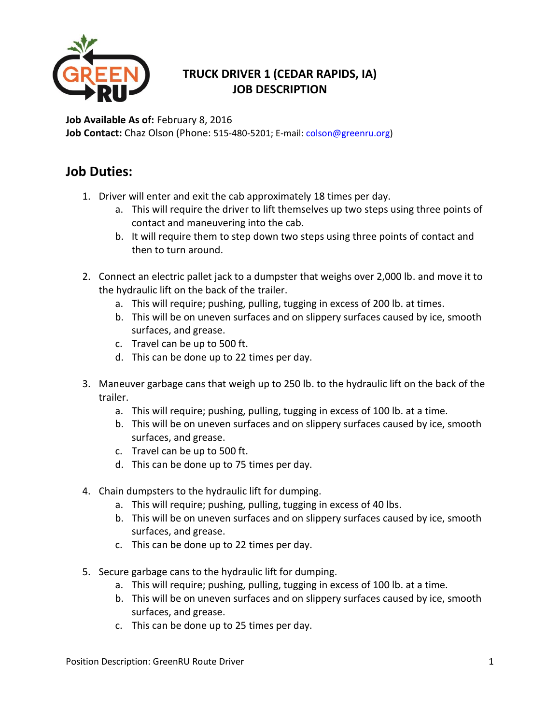

## **TRUCK DRIVER 1 (CEDAR RAPIDS, IA) JOB DESCRIPTION**

**Job Available As of:** February 8, 2016 **Job Contact:** Chaz Olson (Phone: 515-480-5201; E-mail[: colson@greenru.org\)](mailto:colson@greenru.org)

## **Job Duties:**

- 1. Driver will enter and exit the cab approximately 18 times per day.
	- a. This will require the driver to lift themselves up two steps using three points of contact and maneuvering into the cab.
	- b. It will require them to step down two steps using three points of contact and then to turn around.
- 2. Connect an electric pallet jack to a dumpster that weighs over 2,000 lb. and move it to the hydraulic lift on the back of the trailer.
	- a. This will require; pushing, pulling, tugging in excess of 200 lb. at times.
	- b. This will be on uneven surfaces and on slippery surfaces caused by ice, smooth surfaces, and grease.
	- c. Travel can be up to 500 ft.
	- d. This can be done up to 22 times per day.
- 3. Maneuver garbage cans that weigh up to 250 lb. to the hydraulic lift on the back of the trailer.
	- a. This will require; pushing, pulling, tugging in excess of 100 lb. at a time.
	- b. This will be on uneven surfaces and on slippery surfaces caused by ice, smooth surfaces, and grease.
	- c. Travel can be up to 500 ft.
	- d. This can be done up to 75 times per day.
- 4. Chain dumpsters to the hydraulic lift for dumping.
	- a. This will require; pushing, pulling, tugging in excess of 40 lbs.
	- b. This will be on uneven surfaces and on slippery surfaces caused by ice, smooth surfaces, and grease.
	- c. This can be done up to 22 times per day.
- 5. Secure garbage cans to the hydraulic lift for dumping.
	- a. This will require; pushing, pulling, tugging in excess of 100 lb. at a time.
	- b. This will be on uneven surfaces and on slippery surfaces caused by ice, smooth surfaces, and grease.
	- c. This can be done up to 25 times per day.